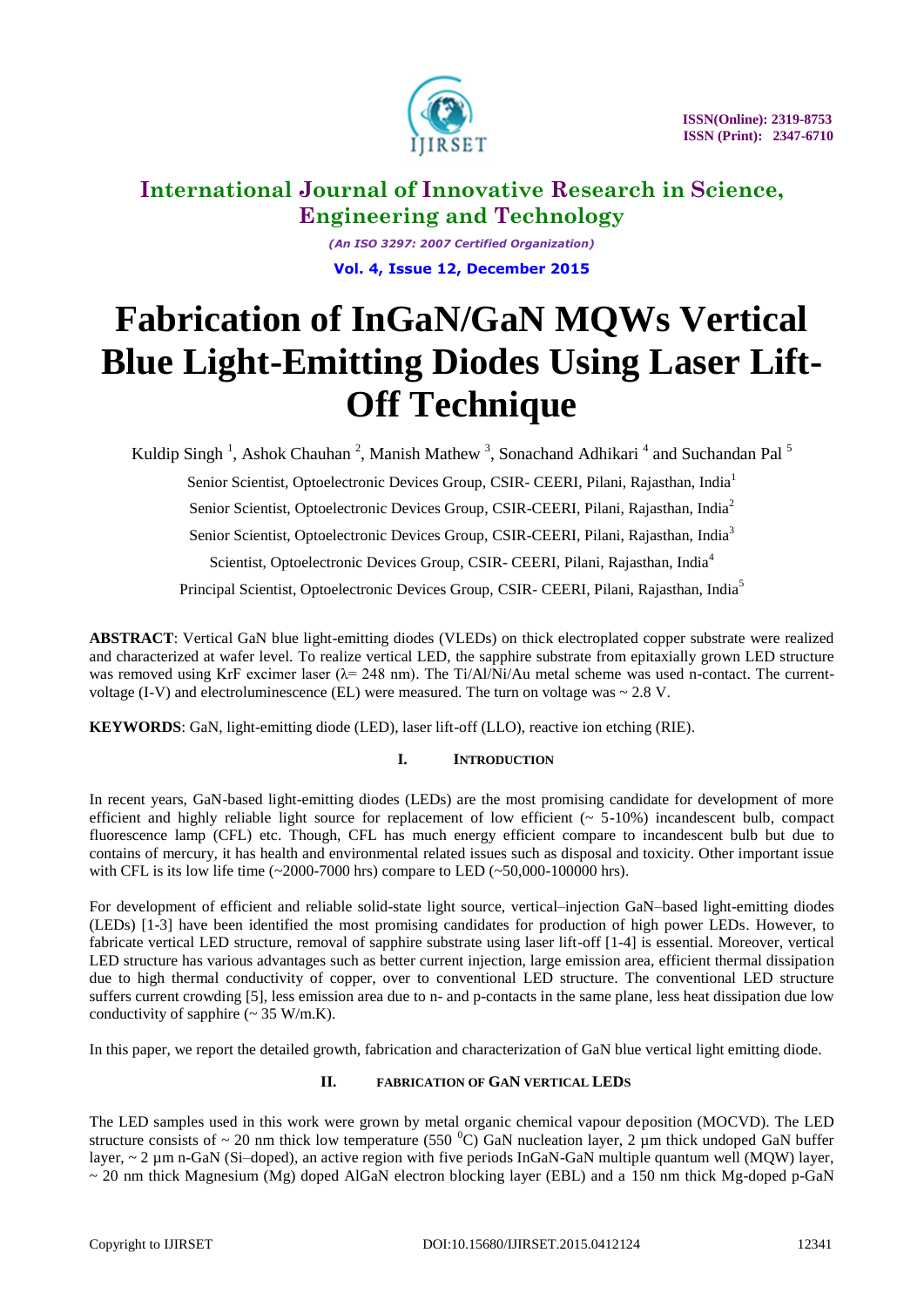

*(An ISO 3297: 2007 Certified Organization)* **Vol. 4, Issue 12, December 2015**

# **Fabrication of InGaN/GaN MQWs Vertical Blue Light-Emitting Diodes Using Laser Lift-Off Technique**

Kuldip Singh<sup>1</sup>, Ashok Chauhan<sup>2</sup>, Manish Mathew<sup>3</sup>, Sonachand Adhikari<sup>4</sup> and Suchandan Pal<sup>5</sup>

Senior Scientist, Optoelectronic Devices Group, CSIR- CEERI, Pilani, Rajasthan, India<sup>1</sup>

Senior Scientist, Optoelectronic Devices Group, CSIR-CEERI, Pilani, Rajasthan, India<sup>2</sup>

Senior Scientist, Optoelectronic Devices Group, CSIR-CEERI, Pilani, Rajasthan, India<sup>3</sup>

Scientist, Optoelectronic Devices Group, CSIR- CEERI, Pilani, Rajasthan, India<sup>4</sup>

Principal Scientist, Optoelectronic Devices Group, CSIR- CEERI, Pilani, Rajasthan, India<sup>5</sup>

**ABSTRACT**: Vertical GaN blue light-emitting diodes (VLEDs) on thick electroplated copper substrate were realized and characterized at wafer level. To realize vertical LED, the sapphire substrate from epitaxially grown LED structure was removed using KrF excimer laser ( $\lambda$ = 248 nm). The Ti/Al/Ni/Au metal scheme was used n-contact. The currentvoltage (I-V) and electroluminescence (EL) were measured. The turn on voltage was  $\sim 2.8$  V.

**KEYWORDS**: GaN, light-emitting diode (LED), laser lift-off (LLO), reactive ion etching (RIE).

### **I. INTRODUCTION**

In recent years, GaN-based light-emitting diodes (LEDs) are the most promising candidate for development of more efficient and highly reliable light source for replacement of low efficient  $(~ 5-10%)$  incandescent bulb, compact fluorescence lamp (CFL) etc. Though, CFL has much energy efficient compare to incandescent bulb but due to contains of mercury, it has health and environmental related issues such as disposal and toxicity. Other important issue with CFL is its low life time (~2000-7000 hrs) compare to LED (~50,000-100000 hrs).

For development of efficient and reliable solid-state light source, vertical–injection GaN–based light-emitting diodes (LEDs) [1-3] have been identified the most promising candidates for production of high power LEDs. However, to fabricate vertical LED structure, removal of sapphire substrate using laser lift-off [1-4] is essential. Moreover, vertical LED structure has various advantages such as better current injection, large emission area, efficient thermal dissipation due to high thermal conductivity of copper, over to conventional LED structure. The conventional LED structure suffers current crowding [5], less emission area due to n- and p-contacts in the same plane, less heat dissipation due low conductivity of sapphire  $\sim$  35 W/m.K).

In this paper, we report the detailed growth, fabrication and characterization of GaN blue vertical light emitting diode.

### **II. FABRICATION OF GAN VERTICAL LEDS**

The LED samples used in this work were grown by metal organic chemical vapour deposition (MOCVD). The LED structure consists of  $\sim 20$  nm thick low temperature (550  $^0$ C) GaN nucleation layer, 2 µm thick undoped GaN buffer layer,  $\sim$  2 µm n-GaN (Si-doped), an active region with five periods InGaN-GaN multiple quantum well (MQW) layer,  $\sim$  20 nm thick Magnesium (Mg) doped AlGaN electron blocking layer (EBL) and a 150 nm thick Mg-doped p-GaN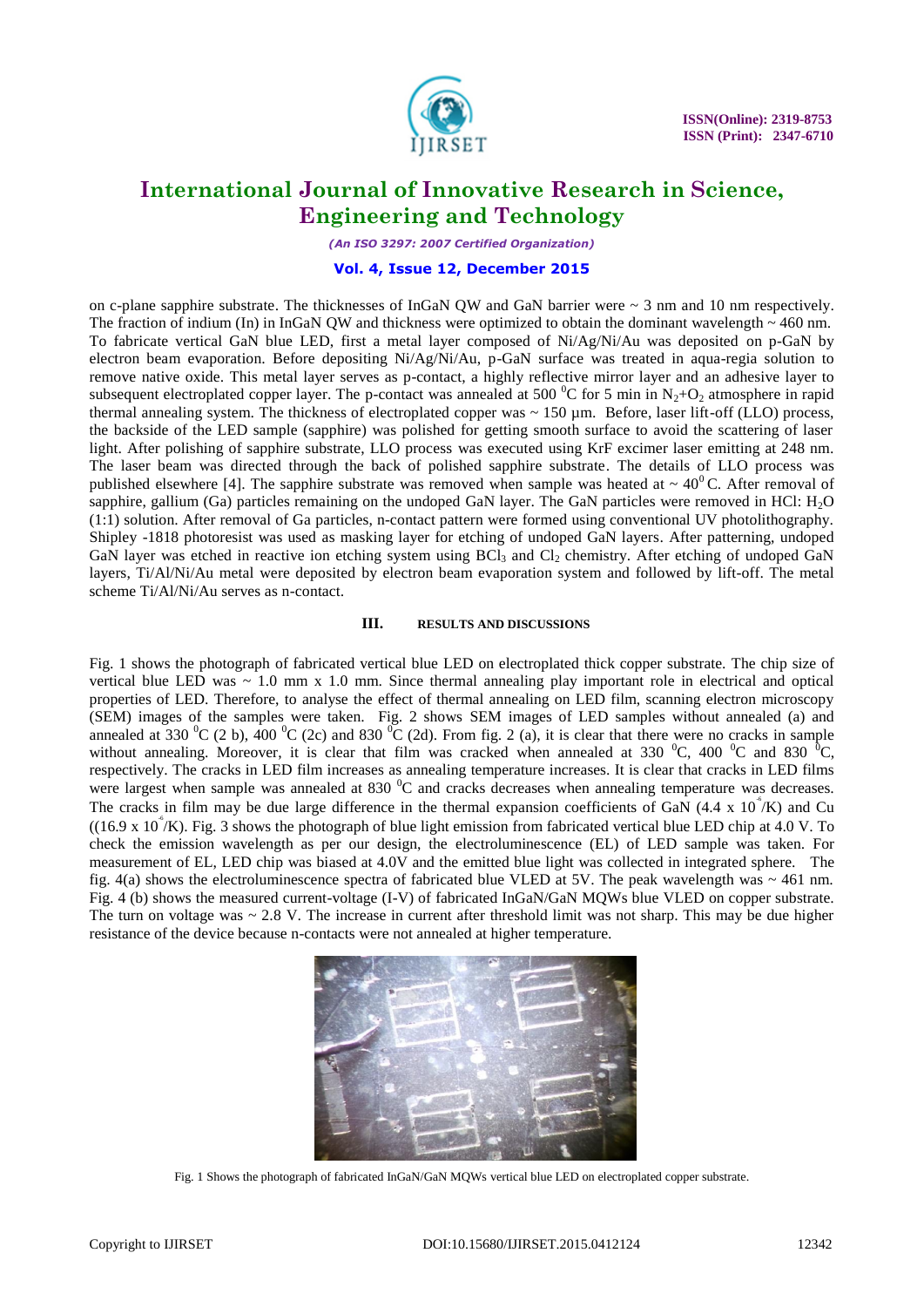

*(An ISO 3297: 2007 Certified Organization)*

#### **Vol. 4, Issue 12, December 2015**

on c-plane sapphire substrate. The thicknesses of InGaN OW and GaN barrier were  $\sim$  3 nm and 10 nm respectively. The fraction of indium (In) in InGaN QW and thickness were optimized to obtain the dominant wavelength  $\sim$  460 nm. To fabricate vertical GaN blue LED, first a metal layer composed of Ni/Ag/Ni/Au was deposited on p-GaN by electron beam evaporation. Before depositing Ni/Ag/Ni/Au, p-GaN surface was treated in aqua-regia solution to remove native oxide. This metal layer serves as p-contact, a highly reflective mirror layer and an adhesive layer to subsequent electroplated copper layer. The p-contact was annealed at 500  $^0C$  for 5 min in N<sub>2</sub>+O<sub>2</sub> atmosphere in rapid thermal annealing system. The thickness of electroplated copper was  $\sim 150 \,\mu m$ . Before, laser lift-off (LLO) process, the backside of the LED sample (sapphire) was polished for getting smooth surface to avoid the scattering of laser light. After polishing of sapphire substrate, LLO process was executed using KrF excimer laser emitting at 248 nm. The laser beam was directed through the back of polished sapphire substrate. The details of LLO process was published elsewhere [4]. The sapphire substrate was removed when sample was heated at  $\sim 40^{\circ}$ C. After removal of sapphire, gallium (Ga) particles remaining on the undoped GaN layer. The GaN particles were removed in HCl: H<sub>2</sub>O (1:1) solution. After removal of Ga particles, n-contact pattern were formed using conventional UV photolithography. Shipley -1818 photoresist was used as masking layer for etching of undoped GaN layers. After patterning, undoped GaN layer was etched in reactive ion etching system using BCl<sub>3</sub> and Cl<sub>2</sub> chemistry. After etching of undoped GaN layers, Ti/Al/Ni/Au metal were deposited by electron beam evaporation system and followed by lift-off. The metal scheme Ti/Al/Ni/Au serves as n-contact.

#### **III. RESULTS AND DISCUSSIONS**

Fig. 1 shows the photograph of fabricated vertical blue LED on electroplated thick copper substrate. The chip size of vertical blue LED was  $\sim$  1.0 mm x 1.0 mm. Since thermal annealing play important role in electrical and optical properties of LED. Therefore, to analyse the effect of thermal annealing on LED film, scanning electron microscopy (SEM) images of the samples were taken. Fig. 2 shows SEM images of LED samples without annealed (a) and annealed at 330  $^{\circ}$ C (2 b), 400  $^{\circ}$ C (2c) and 830  $^{\circ}$ C (2d). From fig. 2 (a), it is clear that there were no cracks in sample without annealing. Moreover, it is clear that film was cracked when annealed at 330  $^{\circ}$ C, 400  $^{\circ}$ C and 830  $^{\circ}$ C, respectively. The cracks in LED film increases as annealing temperature increases. It is clear that cracks in LED films were largest when sample was annealed at 830 <sup>o</sup>C and cracks decreases when annealing temperature was decreases. The cracks in film may be due large difference in the thermal expansion coefficients of GaN  $(4.4 \times 10^{4}/K)$  and Cu  $((16.9 \times 10^{4}/K)$ . Fig. 3 shows the photograph of blue light emission from fabricated vertical blue LED chip at 4.0 V. To check the emission wavelength as per our design, the electroluminescence (EL) of LED sample was taken. For measurement of EL, LED chip was biased at 4.0V and the emitted blue light was collected in integrated sphere. The fig. 4(a) shows the electroluminescence spectra of fabricated blue VLED at 5V. The peak wavelength was  $\sim$  461 nm. Fig. 4 (b) shows the measured current-voltage (I-V) of fabricated InGaN/GaN MQWs blue VLED on copper substrate. The turn on voltage was  $\sim 2.8$  V. The increase in current after threshold limit was not sharp. This may be due higher resistance of the device because n-contacts were not annealed at higher temperature.



Fig. 1 Shows the photograph of fabricated InGaN/GaN MQWs vertical blue LED on electroplated copper substrate.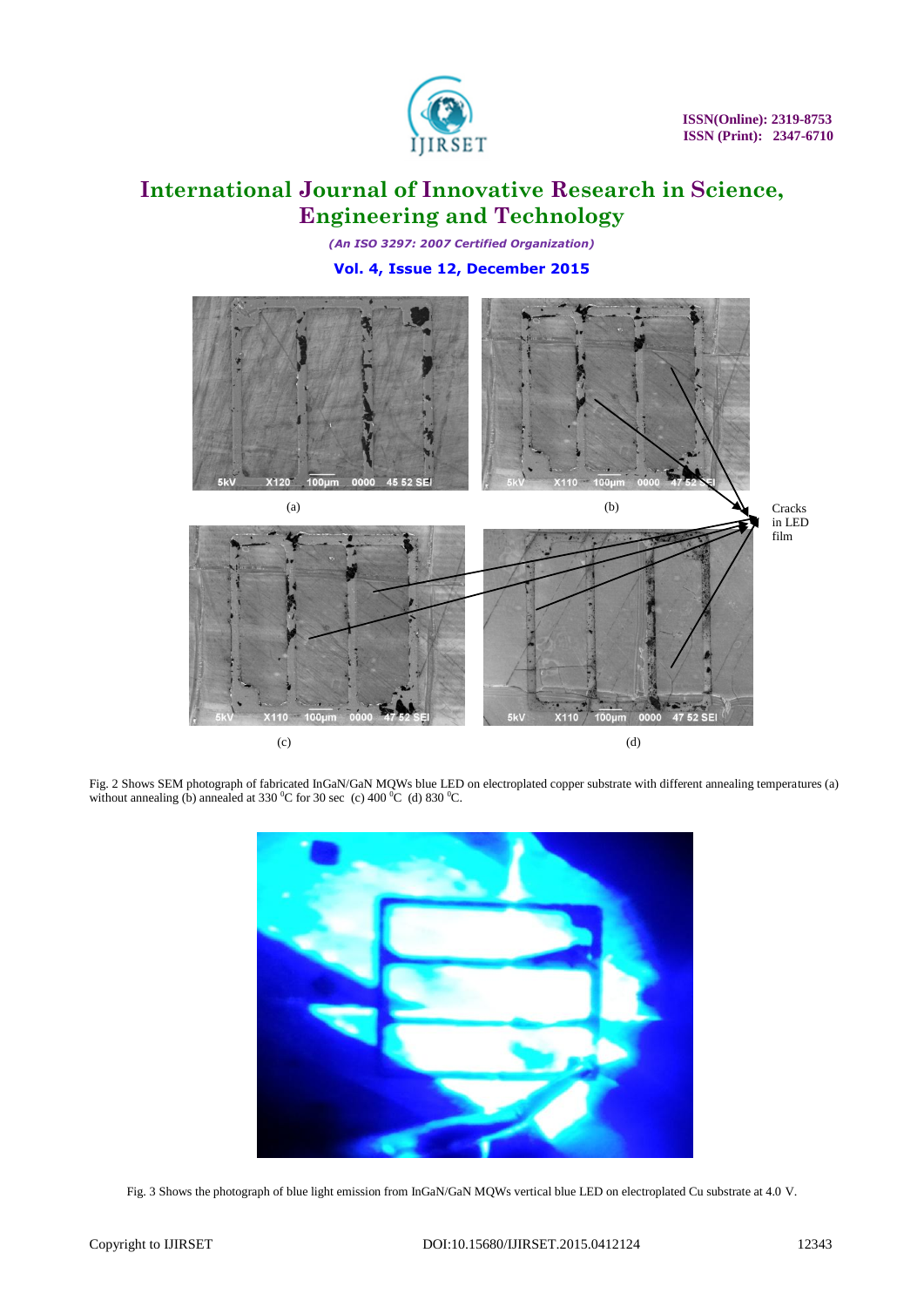

*(An ISO 3297: 2007 Certified Organization)* **Vol. 4, Issue 12, December 2015**



Fig. 2 Shows SEM photograph of fabricated InGaN/GaN MQWs blue LED on electroplated copper substrate with different annealing temperatures (a) without annealing (b) annealed at 330 °C for 30 sec (c) 400 °C (d) 830 °C.



Fig. 3 Shows the photograph of blue light emission from InGaN/GaN MQWs vertical blue LED on electroplated Cu substrate at 4.0 V.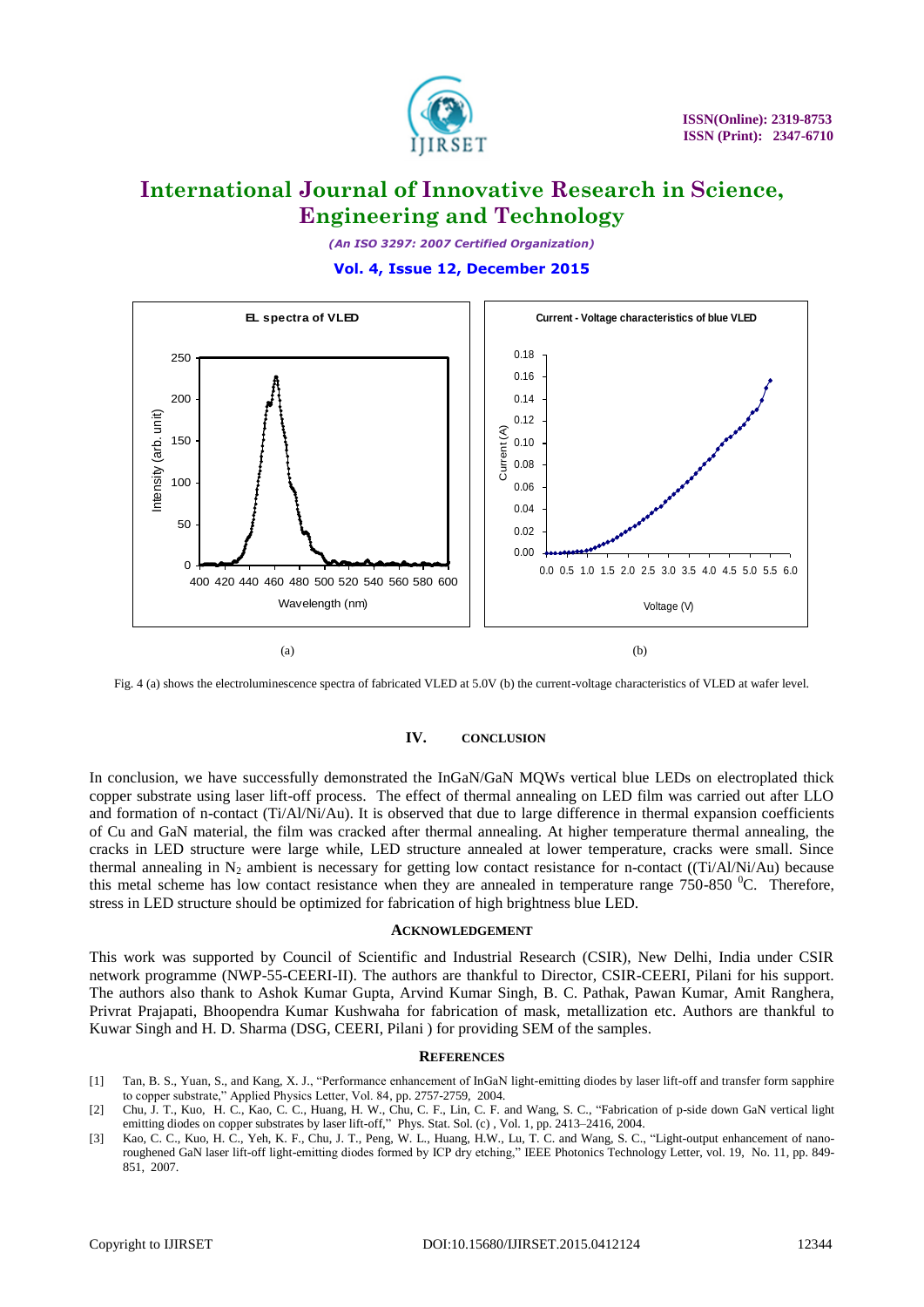

*(An ISO 3297: 2007 Certified Organization)* **Vol. 4, Issue 12, December 2015**



Fig. 4 (a) shows the electroluminescence spectra of fabricated VLED at 5.0V (b) the current-voltage characteristics of VLED at wafer level.

### **IV. CONCLUSION**

In conclusion, we have successfully demonstrated the InGaN/GaN MQWs vertical blue LEDs on electroplated thick copper substrate using laser lift-off process. The effect of thermal annealing on LED film was carried out after LLO and formation of n-contact (Ti/Al/Ni/Au). It is observed that due to large difference in thermal expansion coefficients of Cu and GaN material, the film was cracked after thermal annealing. At higher temperature thermal annealing, the cracks in LED structure were large while, LED structure annealed at lower temperature, cracks were small. Since thermal annealing in  $N_2$  ambient is necessary for getting low contact resistance for n-contact ((Ti/Al/Ni/Au) because this metal scheme has low contact resistance when they are annealed in temperature range  $750-850$   $\rm{^0C}$ . Therefore, stress in LED structure should be optimized for fabrication of high brightness blue LED.

#### **ACKNOWLEDGEMENT**

This work was supported by Council of Scientific and Industrial Research (CSIR), New Delhi, India under CSIR network programme (NWP-55-CEERI-II). The authors are thankful to Director, CSIR-CEERI, Pilani for his support. The authors also thank to Ashok Kumar Gupta, Arvind Kumar Singh, B. C. Pathak, Pawan Kumar, Amit Ranghera, Privrat Prajapati, Bhoopendra Kumar Kushwaha for fabrication of mask, metallization etc. Authors are thankful to Kuwar Singh and H. D. Sharma (DSG, CEERI, Pilani ) for providing SEM of the samples.

#### **REFERENCES**

- [1] Tan, B. S., Yuan, S., and Kang, X. J., "Performance enhancement of InGaN light-emitting diodes by laser lift-off and transfer form sapphire to copper substrate," Applied Physics Letter, Vol. 84, pp. 2757-2759, 2004.
- [2] Chu, J. T., Kuo, H. C., Kao, C. C., Huang, H. W., Chu, C. F., Lin, C. F. and Wang, S. C., "Fabrication of p-side down GaN vertical light emitting diodes on copper substrates by laser lift-off," Phys. Stat. Sol. (c) , Vol. 1, pp. 2413–2416, 2004.
- [3] Kao, C. C., Kuo, H. C., Yeh, K. F., Chu, J. T., Peng, W. L., Huang, H.W., Lu, T. C. and Wang, S. C., "Light-output enhancement of nanoroughened GaN laser lift-off light-emitting diodes formed by ICP dry etching," IEEE Photonics Technology Letter, vol. 19, No. 11, pp. 849- 851, 2007.